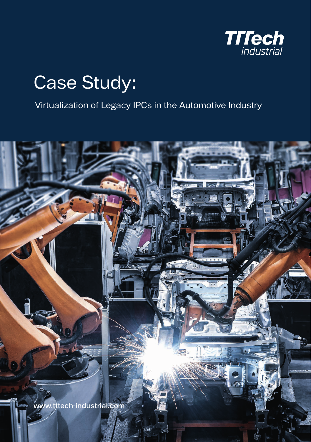

## Case Study:

Virtualization of Legacy IPCs in the Automotive Industry

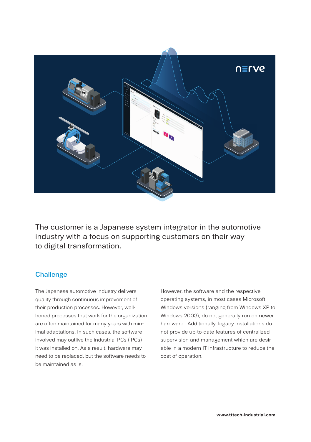

The customer is a Japanese system integrator in the automotive industry with a focus on supporting customers on their way to digital transformation.

## **Challenge**

The Japanese automotive industry delivers quality through continuous improvement of their production processes. However, wellhoned processes that work for the organization are often maintained for many years with minimal adaptations. In such cases, the software involved may outlive the industrial PCs (IPCs) it was installed on. As a result, hardware may need to be replaced, but the software needs to be maintained as is.

However, the software and the respective operating systems, in most cases Microsoft Windows versions (ranging from Windows XP to Windows 2003), do not generally run on newer hardware. Additionally, legacy installations do not provide up-to-date features of centralized supervision and management which are desirable in a modern IT infrastructure to reduce the cost of operation.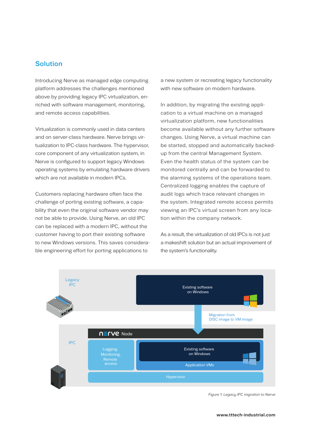## **Solution**

Introducing Nerve as managed edge computing platform addresses the challenges mentioned above by providing legacy IPC virtualization, enriched with software management, monitoring, and remote access capabilities.

Virtualization is commonly used in data centers and on server-class hardware. Nerve brings virtualization to IPC-class hardware. The hypervisor, core component of any virtualization system, in Nerve is configured to support legacy Windows operating systems by emulating hardware drivers which are not available in modern IPCs.

Customers replacing hardware often face the challenge of porting existing software, a capability that even the original software vendor may not be able to provide. Using Nerve, an old IPC can be replaced with a modern IPC, without the customer having to port their existing software to new Windows versions. This saves considerable engineering effort for porting applications to

a new system or recreating legacy functionality with new software on modern hardware.

In addition, by migrating the existing application to a virtual machine on a managed virtualization platform, new functionalities become available without any further software changes. Using Nerve, a virtual machine can be started, stopped and automatically backedup from the central Management System. Even the health status of the system can be monitored centrally and can be forwarded to the alarming systems of the operations team. Centralized logging enables the capture of audit logs which trace relevant changes in the system. Integrated remote access permits viewing an IPC's virtual screen from any location within the company network.

As a result, the virtualization of old IPCs is not just a makeshift solution but an actual improvement of the system's functionality.



*Figure 1: Legacy IPC migration to Nerve*